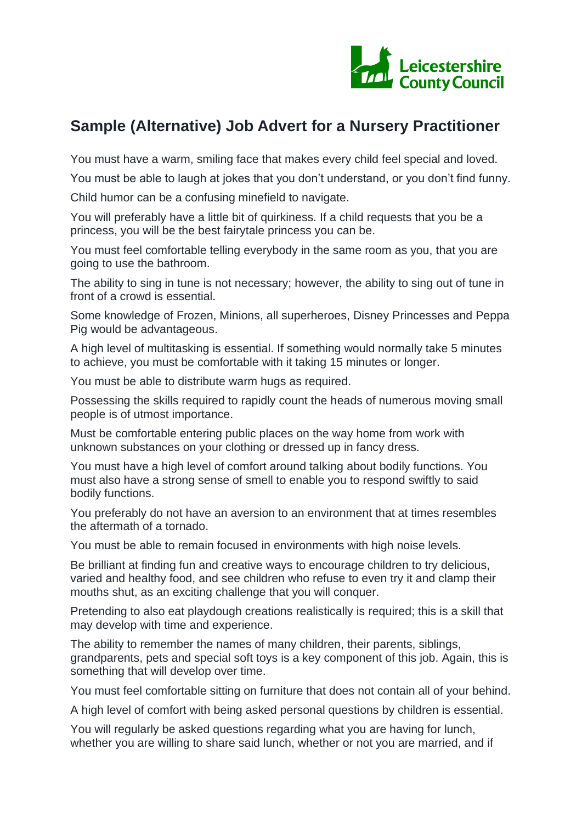

## **Sample (Alternative) Job Advert for a Nursery Practitioner**

You must have a warm, smiling face that makes every child feel special and loved.

You must be able to laugh at jokes that you don't understand, or you don't find funny.

Child humor can be a confusing minefield to navigate.

You will preferably have a little bit of quirkiness. If a child requests that you be a princess, you will be the best fairytale princess you can be.

You must feel comfortable telling everybody in the same room as you, that you are going to use the bathroom.

The ability to sing in tune is not necessary; however, the ability to sing out of tune in front of a crowd is essential.

Some knowledge of Frozen, Minions, all superheroes, Disney Princesses and Peppa Pig would be advantageous.

A high level of multitasking is essential. If something would normally take 5 minutes to achieve, you must be comfortable with it taking 15 minutes or longer.

You must be able to distribute warm hugs as required.

Possessing the skills required to rapidly count the heads of numerous moving small people is of utmost importance.

Must be comfortable entering public places on the way home from work with unknown substances on your clothing or dressed up in fancy dress.

You must have a high level of comfort around talking about bodily functions. You must also have a strong sense of smell to enable you to respond swiftly to said bodily functions.

You preferably do not have an aversion to an environment that at times resembles the aftermath of a tornado.

You must be able to remain focused in environments with high noise levels.

Be brilliant at finding fun and creative ways to encourage children to try delicious, varied and healthy food, and see children who refuse to even try it and clamp their mouths shut, as an exciting challenge that you will conquer.

Pretending to also eat playdough creations realistically is required; this is a skill that may develop with time and experience.

The ability to remember the names of many children, their parents, siblings, grandparents, pets and special soft toys is a key component of this job. Again, this is something that will develop over time.

You must feel comfortable sitting on furniture that does not contain all of your behind.

A high level of comfort with being asked personal questions by children is essential.

You will regularly be asked questions regarding what you are having for lunch, whether you are willing to share said lunch, whether or not you are married, and if